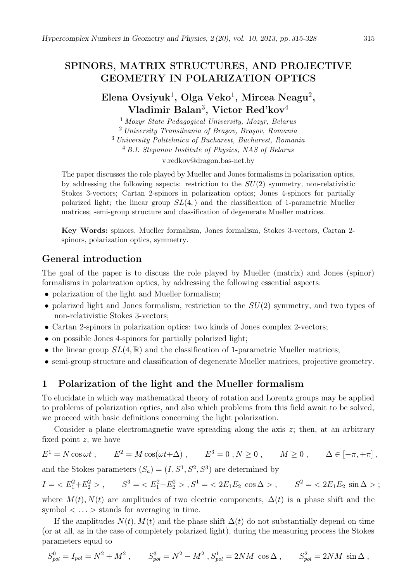## SPINORS, MATRIX STRUCTURES, AND PROJECTIVE GEOMETRY IN POLARIZATION OPTICS

Elena Ovsiyuk $^1$ , Olga Veko $^1$ , Mircea Neagu $^2$ , Vladimir Balan<sup>3</sup>, Victor Red'kov<sup>4</sup>

<sup>1</sup> Mozyr State Pedagogical University, Mozyr, Belarus <sup>2</sup> University Transilvania of Brașov, Brașov, Romania <sup>3</sup> University Politehnica of Bucharest, Bucharest, Romania <sup>4</sup> B.I. Stepanov Institute of Physics, NAS of Belarus v.redkov@dragon.bas-net.by

The paper discusses the role played by Mueller and Jones formalisms in polarization optics, by addressing the following aspects: restriction to the  $SU(2)$  symmetry, non-relativistic Stokes 3-vectors; Cartan 2-spinors in polarization optics; Jones 4-spinors for partially polarized light; the linear group  $SL(4)$ , and the classification of 1-parametric Mueller matrices; semi-group structure and classification of degenerate Mueller matrices.

Key Words: spinors, Mueller formalism, Jones formalism, Stokes 3-vectors, Cartan 2 spinors, polarization optics, symmetry.

## General introduction

The goal of the paper is to discuss the role played by Mueller (matrix) and Jones (spinor) formalisms in polarization optics, by addressing the following essential aspects:

- polarization of the light and Mueller formalism;
- polarized light and Jones formalism, restriction to the  $SU(2)$  symmetry, and two types of non-relativistic Stokes 3-vectors;
- Cartan 2-spinors in polarization optics: two kinds of Jones complex 2-vectors;
- on possible Jones 4-spinors for partially polarized light;
- the linear group  $SL(4,\mathbb{R})$  and the classification of 1-parametric Mueller matrices;
- semi-group structure and classification of degenerate Mueller matrices, projective geometry.

## 1 Polarization of the light and the Mueller formalism

To elucidate in which way mathematical theory of rotation and Lorentz groups may be applied to problems of polarization optics, and also which problems from this field await to be solved, we proceed with basic definitions concerning the light polarization.

Consider a plane electromagnetic wave spreading along the axis  $z$ ; then, at an arbitrary fixed point  $z$ , we have

$$
E1 = N \cos \omega t , \qquad E2 = M \cos(\omega t + \Delta) , \qquad E3 = 0 , N \ge 0 , \qquad M \ge 0 , \qquad \Delta \in [-\pi, +\pi] ,
$$

and the Stokes parameters  $(S_a) = (I, S^1, S^2, S^3)$  are determined by

$$
I = \langle E_1^2 + E_2^2 \rangle, \qquad S^3 = \langle E_1^2 - E_2^2 \rangle, S^1 = \langle 2E_1 E_2 \cos \Delta \rangle, \qquad S^2 = \langle 2E_1 E_2 \sin \Delta \rangle;
$$

where  $M(t)$ ,  $N(t)$  are amplitudes of two electric components,  $\Delta(t)$  is a phase shift and the symbol  $\langle \ldots \rangle$  stands for averaging in time.

If the amplitudes  $N(t)$ ,  $M(t)$  and the phase shift  $\Delta(t)$  do not substantially depend on time (or at all, as in the case of completely polarized light), during the measuring process the Stokes parameters equal to

$$
S_{pol}^0 = I_{pol} = N^2 + M^2 \ , \qquad S_{pol}^3 = N^2 - M^2 \ , \\ S_{pol}^1 = 2NM \ \cos \Delta \ , \qquad S_{pol}^2 = 2NM \ \sin \Delta \ ,
$$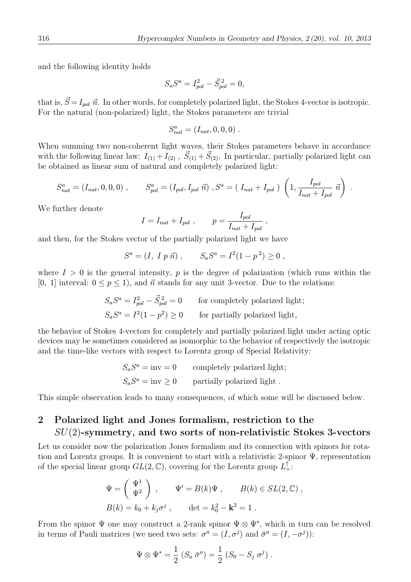.

and the following identity holds

$$
S_a S^a = I_{pol}^2 - \vec{S}_{pol}^2 = 0,
$$

that is,  $\vec{S} = I_{pol} \vec{n}$ . In other words, for completely polarized light, the Stokes 4-vector is isotropic. For the natural (non-polarized) light, the Stokes parameters are trivial

$$
S_{nat}^a = (I_{nat}, 0, 0, 0) \; .
$$

When summing two non-coherent light waves, their Stokes parameters behave in accordance with the following linear law:  $I_{(1)} + I_{(2)}$ ,  $\vec{S}_{(1)} + \vec{S}_{(2)}$ . In particular, partially polarized light can be obtained as linear sum of natural and completely polarized light:

$$
S_{nat}^{a} = (I_{nat}, 0, 0, 0) , \t S_{pol}^{a} = (I_{pol}, I_{pol} \ \vec{n}) , S^{a} = (I_{nat} + I_{pol}) \left( 1, \frac{I_{pol}}{I_{nat} + I_{pol}} \ \vec{n} \right)
$$

We further denote

$$
I = I_{nat} + I_{pol} , \qquad p = \frac{I_{pol}}{I_{nat} + I_{pol}} ,
$$

and then, for the Stokes vector of the partially polarized light we have

$$
S^a = (I, I p \vec{n}), \qquad S_a S^a = I^2 (1 - p^2) \ge 0,
$$

where  $I > 0$  is the general intensity, p is the degree of polarization (which runs within the [0, 1] interval:  $0 \le p \le 1$ , and  $\vec{n}$  stands for any unit 3-vector. Due to the relations:

$$
S_a S^a = I_{pol}^2 - \vec{S}_{pol}^2 = 0
$$
 for completely polarized light;  

$$
S_a S^a = I^2 (1 - p^2) \ge 0
$$
 for partially polarized light,

the behavior of Stokes 4-vectors for completely and partially polarized light under acting optic devices may be sometimes considered as isomorphic to the behavior of respectively the isotropic and the time-like vectors with respect to Lorentz group of Special Relativity:

$$
S_a S^a = inv = 0
$$
 completely polarized light;  

$$
S_a S^a = inv \ge 0
$$
 partially polarized light.

This simple observation leads to many consequences, of which some will be discussed below.

# 2 Polarized light and Jones formalism, restriction to the SU(2)-symmetry, and two sorts of non-relativistic Stokes 3-vectors

Let us consider now the polarization Jones formalism and its connection with spinors for rotation and Lorentz groups. It is convenient to start with a relativistic 2-spinor Ψ, representation of the special linear group  $GL(2,\mathbb{C})$ , covering for the Lorentz group  $L_+^{\uparrow}$ :

$$
\Psi = \begin{pmatrix} \Psi^1 \\ \Psi^2 \end{pmatrix} , \qquad \Psi' = B(k)\Psi , \qquad B(k) \in SL(2, \mathbb{C}) ,
$$
  

$$
B(k) = k_0 + k_j \sigma^j , \qquad \det = k_0^2 - \mathbf{k}^2 = 1 .
$$

From the spinor  $\Psi$  one may construct a 2-rank spinor  $\Psi \otimes \Psi^*$ , which in turn can be resolved in terms of Pauli matrices (we need two sets:  $\sigma^a = (I, \sigma^j)$  and  $\bar{\sigma}^a = (I, -\sigma^j)$ ):

$$
\Psi \otimes \Psi^* = \frac{1}{2} (S_a \bar{\sigma}^a) = \frac{1}{2} (S_0 - S_j \sigma^j).
$$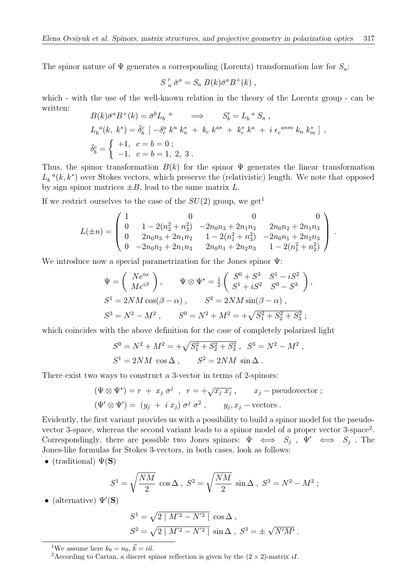The spinor nature of  $\Psi$  generates a corresponding (Lorentz) transformation law for  $S_a$ :

$$
S'_a \overline{\sigma}^a = S_a B(k) \overline{\sigma}^a B^+(k) ,
$$

which - with the use of the well-known relation in the theory of the Lorentz group - can be written:  $\mathbf{E}(\mathbf{r}) = \mathbf{S} \mathbf{E} + \mathbf{r}$ 

$$
B(k)\bar{\sigma}^{a}B^{+}(k) = \bar{\sigma}^{b}L_{b}^{a} \implies S'_{b} = L_{b}^{a} S_{a} ,
$$
  
\n
$$
L_{b}^{a}(k, k^{*}) = \bar{\delta}_{b}^{c} [-\delta_{c}^{a} k^{n} k_{n}^{*} + k_{c} k^{a*} + k_{c}^{*} k^{a} + i \epsilon_{c}^{anm} k_{n} k_{m}^{*} ],
$$
  
\n
$$
\bar{\delta}_{b}^{c} = \begin{cases} +1, & c = b = 0 ; \\ -1, & c = b = 1, 2, 3 . \end{cases}
$$

Thus, the spinor transformation  $B(k)$  for the spinor  $\Psi$  generates the linear transformation  $L_b^{a}(k, k^*)$  over Stokes vectors, which preserve the (relativistic) length. We note that opposed by sign spinor matrices  $\pm B$ , lead to the same matrix L.

If we restrict ourselves to the case of the  $SU(2)$  group, we get<sup>1</sup>

$$
L(\pm n) = \begin{pmatrix} 1 & 0 & 0 & 0 \\ 0 & 1 - 2(n_2^2 + n_3^2) & -2n_0 n_3 + 2n_1 n_2 & 2n_0 n_2 + 2n_1 n_3 \\ 0 & 2n_0 n_3 + 2n_1 n_2 & 1 - 2(n_1^2 + n_3^2) & -2n_0 n_1 + 2n_2 n_3 \\ 0 & -2n_0 n_2 + 2n_1 n_3 & 2n_0 n_1 + 2n_2 n_3 & 1 - 2(n_1^2 + n_2^2) \end{pmatrix}.
$$

We introduce now a special parametrization for the Jones spinor Ψ:

$$
\Psi = \begin{pmatrix} Ne^{i\alpha} \\ Me^{i\beta} \end{pmatrix}, \qquad \Psi \otimes \Psi^* = \frac{1}{2} \begin{pmatrix} S^0 + S^3 & S^1 - iS^2 \\ S^1 + iS^2 & S^0 - S^3 \end{pmatrix},
$$
  
\n
$$
S^1 = 2NM \cos(\beta - \alpha), \qquad S^2 = 2NM \sin(\beta - \alpha),
$$
  
\n
$$
S^3 = N^2 - M^2, \qquad S^0 = N^2 + M^2 = +\sqrt{S_1^2 + S_2^2 + S_3^2};
$$

which coincides with the above definition for the case of completely polarized light

$$
S^0 = N^2 + M^2 = +\sqrt{S_1^2 + S_2^2 + S_3^2} , \quad S^3 = N^2 - M^2 ,
$$
  

$$
S^1 = 2NM \cos \Delta , \qquad S^2 = 2NM \sin \Delta .
$$

There exist two ways to construct a 3-vector in terms of 2-spinors:

$$
(\Psi \otimes \Psi^*) = r + x_j \sigma^j , r = +\sqrt{x_j x_j} , x_j -
$$
pseudovector ;  

$$
(\Psi' \otimes \Psi') = (y_j + i x_j) \sigma^j \sigma^2 , y_j, x_j -
$$
vectors.

Evidently, the first variant provides us with a possibility to build a spinor model for the pseudovector 3-space, whereas the second variant leads to a spinor model of a proper vector 3-space<sup>2</sup>. Correspondingly, there are possible two Jones spinors:  $\Psi \iff S_j$ ,  $\Psi' \iff S_j$ . The Jones-like formulas for Stokes 3-vectors, in both cases, look as follows:

• (traditional)  $\Psi(\mathbf{S})$ 

$$
S^{1} = \sqrt{\frac{NM}{2}} \cos \Delta , S^{2} = \sqrt{\frac{NM}{2}} \sin \Delta , S^{3} = N^{2} - M^{2} ;
$$

• (alternative)  $\Psi'(\mathbf{S})$ 

$$
S^{1} = \sqrt{2 | M'^{2} - N'^{2} |} \cos \Delta ,
$$
  

$$
S^{2} = \sqrt{2 | M'^{2} - N'^{2} |} \sin \Delta , S^{3} = \pm \sqrt{N'M'}.
$$

<sup>1</sup>We assume here  $k_0 = n_0, \, \vec{k} = i\vec{n}$ .

<sup>&</sup>lt;sup>2</sup>According to Cartan, a discret spinor reflection is given by the  $(2 \times 2)$ -matrix iI.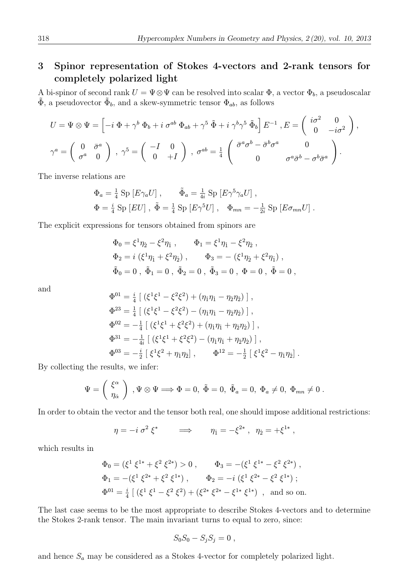# 3 Spinor representation of Stokes 4-vectors and 2-rank tensors for completely polarized light

A bi-spinor of second rank  $U = \Psi \otimes \Psi$  can be resolved into scalar  $\Phi$ , a vector  $\Phi_b$ , a pseudoscalar  $\tilde{\Phi}$ , a pseudovector  $\tilde{\Phi}_b$ , and a skew-symmetric tensor  $\Phi_{ab}$ , as follows

$$
U = \Psi \otimes \Psi = \left[ -i \Phi + \gamma^b \Phi_b + i \sigma^{ab} \Phi_{ab} + \gamma^5 \tilde{\Phi} + i \gamma^b \gamma^5 \tilde{\Phi}_b \right] E^{-1}, E = \begin{pmatrix} i\sigma^2 & 0 \\ 0 & -i\sigma^2 \end{pmatrix},
$$
  

$$
\gamma^a = \begin{pmatrix} 0 & \bar{\sigma}^a \\ \sigma^a & 0 \end{pmatrix}, \gamma^5 = \begin{pmatrix} -I & 0 \\ 0 & +I \end{pmatrix}, \sigma^{ab} = \frac{1}{4} \begin{pmatrix} \bar{\sigma}^a \sigma^b - \bar{\sigma}^b \sigma^a & 0 \\ 0 & \sigma^a \bar{\sigma}^b - \sigma^b \bar{\sigma}^a \end{pmatrix}.
$$

The inverse relations are

$$
\Phi_a = \frac{1}{4} \operatorname{Sp} [E \gamma_a U], \qquad \tilde{\Phi}_a = \frac{1}{4i} \operatorname{Sp} [E \gamma^5 \gamma_a U],
$$
  

$$
\Phi = \frac{i}{4} \operatorname{Sp} [EU], \ \tilde{\Phi} = \frac{1}{4} \operatorname{Sp} [E \gamma^5 U], \quad \Phi_{mn} = -\frac{1}{2i} \operatorname{Sp} [E \sigma_{mn} U].
$$

The explicit expressions for tensors obtained from spinors are

$$
\Phi_0 = \xi^1 \eta_{\dot{2}} - \xi^2 \eta_{\dot{1}} , \qquad \Phi_1 = \xi^1 \eta_{\dot{1}} - \xi^2 \eta_{\dot{2}} ,
$$
  
\n
$$
\Phi_2 = i \left( \xi^1 \eta_1 + \xi^2 \eta_{\dot{2}} \right) , \qquad \Phi_3 = - \left( \xi^1 \eta_2 + \xi^2 \eta_{\dot{1}} \right) ,
$$
  
\n
$$
\tilde{\Phi}_0 = 0 , \ \tilde{\Phi}_1 = 0 , \ \tilde{\Phi}_2 = 0 , \ \tilde{\Phi}_3 = 0 , \ \Phi = 0 , \ \tilde{\Phi} = 0 ,
$$

and

$$
\Phi^{01} = \frac{i}{4} \left[ \left( \xi^1 \xi^1 - \xi^2 \xi^2 \right) + \left( \eta_1 \eta_1 - \eta_2 \eta_2 \right) \right],
$$
\n
$$
\Phi^{23} = \frac{1}{4} \left[ \left( \xi^1 \xi^1 - \xi^2 \xi^2 \right) - \left( \eta_1 \eta_1 - \eta_2 \eta_2 \right) \right],
$$
\n
$$
\Phi^{02} = -\frac{1}{4} \left[ \left( \xi^1 \xi^1 + \xi^2 \xi^2 \right) + \left( \eta_1 \eta_1 + \eta_2 \eta_2 \right) \right],
$$
\n
$$
\Phi^{31} = -\frac{1}{4i} \left[ \left( \xi^1 \xi^1 + \xi^2 \xi^2 \right) - \left( \eta_1 \eta_1 + \eta_2 \eta_2 \right) \right],
$$
\n
$$
\Phi^{03} = -\frac{i}{2} \left[ \xi^1 \xi^2 + \eta_1 \eta_2 \right], \qquad \Phi^{12} = -\frac{1}{2} \left[ \xi^1 \xi^2 - \eta_1 \eta_2 \right].
$$

By collecting the results, we infer:

$$
\Psi=\left(\begin{array}{c} \xi^\alpha\\ \eta_{\dot{\alpha}} \end{array}\right)\ , \Psi\otimes\Psi\Longrightarrow \Phi=0,\ \tilde{\Phi}=0,\ \tilde{\Phi}_a=0,\ \Phi_a\neq 0,\ \Phi_{mn}\neq 0\ .
$$

In order to obtain the vector and the tensor both real, one should impose additional restrictions:

$$
\eta = -i \sigma^2 \xi^* \qquad \Longrightarrow \qquad \eta_1 = -\xi^{2*} , \ \eta_2 = +\xi^{1*} ,
$$

which results in

$$
\Phi_0 = (\xi^1 \xi^{1*} + \xi^2 \xi^{2*}) > 0 , \qquad \Phi_3 = -(\xi^1 \xi^{1*} - \xi^2 \xi^{2*}) ,
$$
  
\n
$$
\Phi_1 = -(\xi^1 \xi^{2*} + \xi^2 \xi^{1*}) , \qquad \Phi_2 = -i (\xi^1 \xi^{2*} - \xi^2 \xi^{1*}) ;
$$
  
\n
$$
\Phi^{01} = \frac{i}{4} [(\xi^1 \xi^1 - \xi^2 \xi^2) + (\xi^{2*} \xi^{2*} - \xi^{1*} \xi^{1*}) , \text{ and so on.}
$$

The last case seems to be the most appropriate to describe Stokes 4-vectors and to determine the Stokes 2-rank tensor. The main invariant turns to equal to zero, since:

$$
S_0S_0-S_jS_j=0,
$$

and hence  $S_a$  may be considered as a Stokes 4-vector for completely polarized light.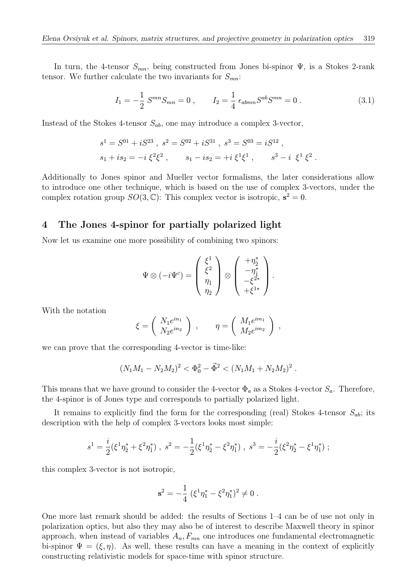In turn, the 4-tensor  $S_{mn}$ , being constructed from Jones bi-spinor  $\Psi$ , is a Stokes 2-rank tensor. We further calculate the two invariants for  $S_{mn}$ :

$$
I_1 = -\frac{1}{2} S^{mn} S_{mn} = 0 , \qquad I_2 = \frac{1}{4} \epsilon_{abmn} S^{ab} S^{mn} = 0 . \qquad (3.1)
$$

Instead of the Stokes 4-tensor  $S_{ab}$ , one may introduce a complex 3-vector,

$$
s1 = S01 + iS23, s2 = S02 + iS31, s3 = S03 = iS12,s1 + is2 = -i \xi2 \xi2, s1 - is2 = +i \xi1 \xi1, s3 - i \xi1 \xi2.
$$

Additionally to Jones spinor and Mueller vector formalisms, the later considerations allow to introduce one other technique, which is based on the use of complex 3-vectors, under the complex rotation group  $SO(3,\mathbb{C})$ : This complex vector is isotropic,  $s^2 = 0$ .

### 4 The Jones 4-spinor for partially polarized light

Now let us examine one more possibility of combining two spinors:

$$
\Psi\otimes(-i\Psi^c)=\left(\begin{array}{c}\xi^1\\ \xi^2\\ \eta_1\\ \eta_2\end{array}\right)\otimes\left(\begin{array}{c}+\eta_2^*\\ -\eta_1^*\\ -\xi^{2*}\\ +\xi^{1*}\end{array}\right).
$$

With the notation

$$
\xi = \left( \begin{array}{c} N_1 e^{in_1} \\ N_2 e^{in_2} \end{array} \right) , \qquad \eta = \left( \begin{array}{c} M_1 e^{in_1} \\ M_2 e^{in_2} \end{array} \right) ,
$$

we can prove that the corresponding 4-vector is time-like:

$$
(N_1M_1-N_2M_2)^2<\Phi_0^2-\vec{\Phi}^2<(N_1M_1+N_2M_2)^2.
$$

This means that we have ground to consider the 4-vector  $\Phi_a$  as a Stokes 4-vector  $S_a$ . Therefore, the 4-spinor is of Jones type and corresponds to partially polarized light.

It remains to explicitly find the form for the corresponding (real) Stokes 4-tensor  $S_{ab}$ ; its description with the help of complex 3-vectors looks most simple:

$$
s^1 = \frac{i}{2} (\xi^1 \eta_2^* + \xi^2 \eta_1^*), \; s^2 = -\frac{1}{2} (\xi^1 \eta_2^* - \xi^2 \eta_1^*), \; s^3 = -\frac{i}{2} (\xi^2 \eta_2^* - \xi^1 \eta_1^*);
$$

this complex 3-vector is not isotropic,

$$
\mathbf{s}^2 = -\frac{1}{4} (\xi^1 \eta_1^* - \xi^2 \eta_1^*)^2 \neq 0.
$$

One more last remark should be added: the results of Sections 1–4 can be of use not only in polarization optics, but also they may also be of interest to describe Maxwell theory in spinor approach, when instead of variables  $A_n$ ,  $F_{mn}$  one introduces one fundamental electromagnetic bi-spinor  $\Psi = (\xi, \eta)$ . As well, these results can have a meaning in the context of explicitly constructing relativistic models for space-time with spinor structure.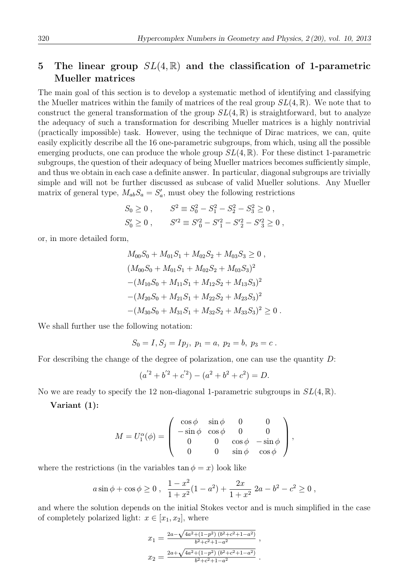## 5 The linear group  $SL(4,\mathbb{R})$  and the classification of 1-parametric Mueller matrices

The main goal of this section is to develop a systematic method of identifying and classifying the Mueller matrices within the family of matrices of the real group  $SL(4,\mathbb{R})$ . We note that to construct the general transformation of the group  $SL(4,\mathbb{R})$  is straightforward, but to analyze the adequacy of such a transformation for describing Mueller matrices is a highly nontrivial (practically impossible) task. However, using the technique of Dirac matrices, we can, quite easily explicitly describe all the 16 one-parametric subgroups, from which, using all the possible emerging products, one can produce the whole group  $SL(4,\mathbb{R})$ . For these distinct 1-parametric subgroups, the question of their adequacy of being Mueller matrices becomes sufficiently simple, and thus we obtain in each case a definite answer. In particular, diagonal subgroups are trivially simple and will not be further discussed as subcase of valid Mueller solutions. Any Mueller matrix of general type,  $M_{ab}S_a = S'_a$ , must obey the following restrictions

$$
S_0 \ge 0, \t S^2 \equiv S_0^2 - S_1^2 - S_2^2 - S_3^2 \ge 0,
$$
  

$$
S_0' \ge 0, \t S'^2 \equiv S'^2_0 - S'^2_1 - S'^2_2 - S'^2_3 \ge 0,
$$

or, in more detailed form,

$$
M_{00}S_0 + M_{01}S_1 + M_{02}S_2 + M_{03}S_3 \ge 0,
$$
  
\n
$$
(M_{00}S_0 + M_{01}S_1 + M_{02}S_2 + M_{03}S_3)^2
$$
  
\n
$$
-(M_{10}S_0 + M_{11}S_1 + M_{12}S_2 + M_{13}S_3)^2
$$
  
\n
$$
-(M_{20}S_0 + M_{21}S_1 + M_{22}S_2 + M_{23}S_3)^2
$$
  
\n
$$
-(M_{30}S_0 + M_{31}S_1 + M_{32}S_2 + M_{33}S_3)^2 \ge 0.
$$

We shall further use the following notation:

$$
S_0 = I, S_j = I p_j, p_1 = a, p_2 = b, p_3 = c.
$$

For describing the change of the degree of polarization, one can use the quantity D:

$$
(a'^2 + b'^2 + c'^2) - (a^2 + b^2 + c^2) = D.
$$

No we are ready to specify the 12 non-diagonal 1-parametric subgroups in  $SL(4,\mathbb{R})$ .

Variant (1):

$$
M=U_1^{\alpha}(\phi)=\left(\begin{array}{cccc} \cos\phi & \sin\phi & 0 & 0 \\ -\sin\phi & \cos\phi & 0 & 0 \\ 0 & 0 & \cos\phi & -\sin\phi \\ 0 & 0 & \sin\phi & \cos\phi \end{array}\right),
$$

where the restrictions (in the variables  $\tan \phi = x$ ) look like

$$
a\sin\phi + \cos\phi \ge 0
$$
,  $\frac{1-x^2}{1+x^2}(1-a^2) + \frac{2x}{1+x^2} 2a - b^2 - c^2 \ge 0$ ,

and where the solution depends on the initial Stokes vector and is much simplified in the case of completely polarized light:  $x \in [x_1, x_2]$ , where

$$
x_1 = \frac{2a - \sqrt{4a^2 + (1-p^2)(b^2 + c^2 + 1 - a^2)}}{b^2 + c^2 + 1 - a^2},
$$
  

$$
x_2 = \frac{2a + \sqrt{4a^2 + (1-p^2)(b^2 + c^2 + 1 - a^2)}}{b^2 + c^2 + 1 - a^2}.
$$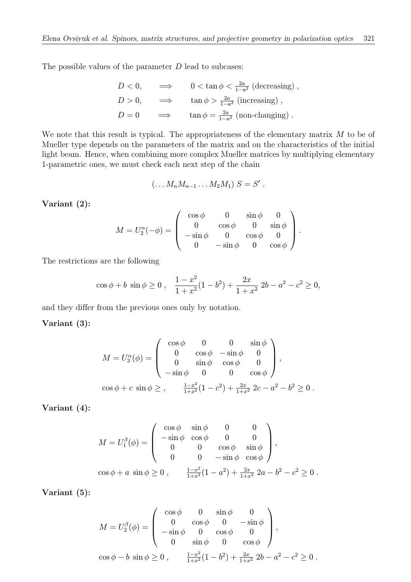The possible values of the parameter  $D$  lead to subcases:

$$
D < 0, \qquad \Longrightarrow \qquad 0 < \tan \phi < \frac{2a}{1 - a^2} \text{ (decreasing) },
$$
\n
$$
D > 0, \qquad \Longrightarrow \qquad \tan \phi > \frac{2a}{1 - a^2} \text{ (increasing) },
$$
\n
$$
D = 0 \qquad \Longrightarrow \qquad \tan \phi = \frac{2a}{1 - a^2} \text{ (non-changing) }.
$$

We note that this result is typical. The appropriateness of the elementary matrix M to be of Mueller type depends on the parameters of the matrix and on the characteristics of the initial light beam. Hence, when combining more complex Mueller matrices by multiplying elementary 1-parametric ones, we must check each next step of the chain

$$
(\ldots M_n M_{n-1} \ldots M_2 M_1) S = S'.
$$

Variant (2):

$$
M = U_2^{\alpha}(-\phi) = \begin{pmatrix} \cos \phi & 0 & \sin \phi & 0 \\ 0 & \cos \phi & 0 & \sin \phi \\ -\sin \phi & 0 & \cos \phi & 0 \\ 0 & -\sin \phi & 0 & \cos \phi \end{pmatrix}.
$$

The restrictions are the following

$$
\cos \phi + b \sin \phi \ge 0
$$
,  $\frac{1-x^2}{1+x^2}(1-b^2) + \frac{2x}{1+x^2}2b - a^2 - c^2 \ge 0$ ,

and they differ from the previous ones only by notation.

### Variant (3):

$$
M = U_3^{\alpha}(\phi) = \begin{pmatrix} \cos \phi & 0 & 0 & \sin \phi \\ 0 & \cos \phi & -\sin \phi & 0 \\ 0 & \sin \phi & \cos \phi & 0 \\ -\sin \phi & 0 & 0 & \cos \phi \end{pmatrix},
$$
  

$$
\cos \phi + c \sin \phi \geq , \qquad \frac{1 - x^2}{1 + x^2}(1 - c^2) + \frac{2x}{1 + x^2} 2c - a^2 - b^2 \geq 0.
$$

Variant (4):

$$
M = U_1^{\beta}(\phi) = \begin{pmatrix} \cos \phi & \sin \phi & 0 & 0 \\ -\sin \phi & \cos \phi & 0 & 0 \\ 0 & 0 & \cos \phi & \sin \phi \\ 0 & 0 & -\sin \phi & \cos \phi \end{pmatrix},
$$
  

$$
\cos \phi + a \sin \phi \ge 0, \qquad \frac{1 - x^2}{1 + x^2}(1 - a^2) + \frac{2x}{1 + x^2} 2a - b^2 - c^2 \ge 0.
$$

Variant (5):

$$
M = U_2^{\beta}(\phi) = \begin{pmatrix} \cos \phi & 0 & \sin \phi & 0 \\ 0 & \cos \phi & 0 & -\sin \phi \\ -\sin \phi & 0 & \cos \phi & 0 \\ 0 & \sin \phi & 0 & \cos \phi \end{pmatrix},
$$
  

$$
\cos \phi - b \sin \phi \ge 0, \qquad \frac{1 - x^2}{1 + x^2} (1 - b^2) + \frac{2x}{1 + x^2} 2b - a^2 - c^2 \ge 0.
$$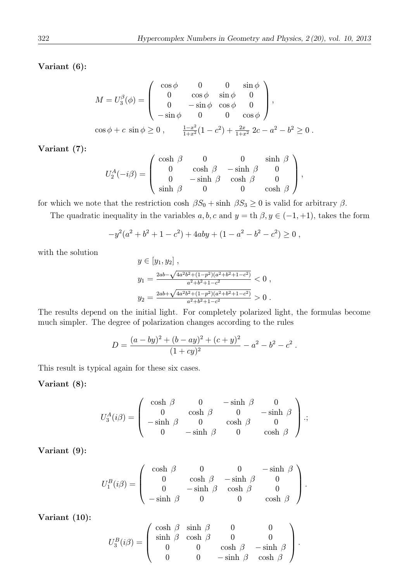Variant (6):

$$
M = U_3^{\beta}(\phi) = \begin{pmatrix} \cos \phi & 0 & 0 & \sin \phi \\ 0 & \cos \phi & \sin \phi & 0 \\ 0 & -\sin \phi & \cos \phi & 0 \\ -\sin \phi & 0 & 0 & \cos \phi \end{pmatrix},
$$
  

$$
\cos \phi + c \sin \phi \ge 0, \qquad \frac{1 - x^2}{1 + x^2} (1 - c^2) + \frac{2x}{1 + x^2} 2c - a^2 - b^2 \ge 0.
$$

Variant (7):

$$
U_2^A(-i\beta) = \left(\begin{array}{cccc} \cosh\,\beta & 0 & 0 & \sinh\,\beta \\ 0 & \cosh\,\beta & -\sinh\,\beta & 0 \\ 0 & -\sinh\,\beta & \cosh\,\beta & 0 \\ \sinh\,\beta & 0 & 0 & \cosh\,\beta \end{array}\right),
$$

for which we note that the restriction cosh  $\beta S_0 + \sinh \beta S_3 \geq 0$  is valid for arbitrary  $\beta$ .

The quadratic inequality in the variables  $a, b, c$  and  $y =$  th  $\beta, y \in (-1, +1)$ , takes the form

$$
-y^2(a^2+b^2+1-c^2)+4aby+(1-a^2-b^2-c^2)\geq 0,
$$

with the solution

$$
y \in [y_1, y_2],
$$
  
\n
$$
y_1 = \frac{2ab - \sqrt{4a^2b^2 + (1-p^2)(a^2 + b^2 + 1 - c^2)}}{a^2 + b^2 + 1 - c^2} < 0,
$$
  
\n
$$
y_2 = \frac{2ab + \sqrt{4a^2b^2 + (1-p^2)(a^2 + b^2 + 1 - c^2)}}{a^2 + b^2 + 1 - c^2} > 0.
$$

The results depend on the initial light. For completely polarized light, the formulas become much simpler. The degree of polarization changes according to the rules

$$
D = \frac{(a - by)^2 + (b - ay)^2 + (c + y)^2}{(1 + cy)^2} - a^2 - b^2 - c^2.
$$

This result is typical again for these six cases.

### Variant (8):

$$
U_3^A(i\beta) = \begin{pmatrix} \cosh \beta & 0 & -\sinh \beta & 0 \\ 0 & \cosh \beta & 0 & -\sinh \beta \\ -\sinh \beta & 0 & \cosh \beta & 0 \\ 0 & -\sinh \beta & 0 & \cosh \beta \end{pmatrix};
$$

Variant (9):

$$
U_1^B(i\beta) = \left(\begin{array}{cccc} \cosh \beta & 0 & 0 & -\sinh \beta \\ 0 & \cosh \beta & -\sinh \beta & 0 \\ 0 & -\sinh \beta & \cosh \beta & 0 \\ -\sinh \beta & 0 & 0 & \cosh \beta \end{array}\right).
$$

Variant (10):

$$
U_3^B(i\beta) = \left( \begin{array}{cccc} \cosh \beta & \sinh \beta & 0 & 0 \\ \sinh \beta & \cosh \beta & 0 & 0 \\ 0 & 0 & \cosh \beta & -\sinh \beta \\ 0 & 0 & -\sinh \beta & \cosh \beta \end{array} \right).
$$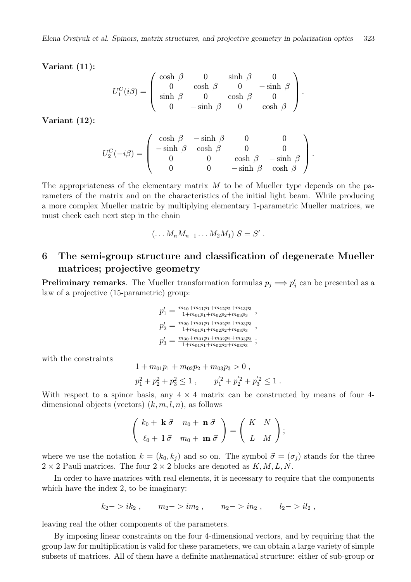Variant (11):

$$
U_1^C(i\beta) = \left(\begin{array}{cccc} \cosh \beta & 0 & \sinh \beta & 0 \\ 0 & \cosh \beta & 0 & -\sinh \beta \\ \sinh \beta & 0 & \cosh \beta & 0 \\ 0 & -\sinh \beta & 0 & \cosh \beta \end{array}\right).
$$

Variant (12):

$$
U_2^C(-i\beta) = \left(\begin{array}{cccc} \cosh \beta & -\sinh \beta & 0 & 0 \\ -\sinh \beta & \cosh \beta & 0 & 0 \\ 0 & 0 & \cosh \beta & -\sinh \beta \\ 0 & 0 & -\sinh \beta & \cosh \beta \end{array}\right).
$$

The appropriateness of the elementary matrix  $M$  to be of Mueller type depends on the parameters of the matrix and on the characteristics of the initial light beam. While producing a more complex Mueller matric by multiplying elementary 1-parametric Mueller matrices, we must check each next step in the chain

$$
(\ldots M_n M_{n-1} \ldots M_2 M_1) S = S'.
$$

## 6 The semi-group structure and classification of degenerate Mueller matrices; projective geometry

**Preliminary remarks**. The Mueller transformation formulas  $p_j \implies p'_j$  can be presented as a law of a projective (15-parametric) group:

$$
p'_1 = \frac{m_{10} + m_{11}p_1 + m_{12}p_2 + m_{13}p_3}{1 + m_{01}p_1 + m_{02}p_2 + m_{03}p_3} ,
$$
  
\n
$$
p'_2 = \frac{m_{20} + m_{21}p_1 + m_{22}p_2 + m_{23}p_3}{1 + m_{01}p_1 + m_{02}p_2 + m_{03}p_3} ,
$$
  
\n
$$
p'_3 = \frac{m_{30} + m_{31}p_1 + m_{32}p_2 + m_{33}p_3}{1 + m_{01}p_1 + m_{02}p_2 + m_{03}p_3} ;
$$

with the constraints

$$
1 + m_{01}p_1 + m_{02}p_2 + m_{03}p_3 > 0,
$$
  

$$
p_1^2 + p_2^2 + p_3^2 \le 1,
$$
 
$$
p_1'^2 + p_2'^2 + p_3'^2 \le 1.
$$

With respect to a spinor basis, any  $4 \times 4$  matrix can be constructed by means of four 4dimensional objects (vectors)  $(k, m, l, n)$ , as follows

$$
\left(\begin{array}{cc}k_0+\mathbf{k}\ \vec{\sigma} & n_0+\mathbf{n}\ \vec{\sigma} \\ \ell_0+\mathbf{1}\ \vec{\sigma} & m_0+\mathbf{m}\ \vec{\sigma}\end{array}\right)=\left(\begin{array}{cc}K&N \\ L&M\end{array}\right);
$$

where we use the notation  $k = (k_0, k_j)$  and so on. The symbol  $\vec{\sigma} = (\sigma_j)$  stands for the three  $2 \times 2$  Pauli matrices. The four  $2 \times 2$  blocks are denoted as  $K, M, L, N$ .

In order to have matrices with real elements, it is necessary to require that the components which have the index 2, to be imaginary:

$$
k_2 - > ik_2
$$
,  $m_2 - > im_2$ ,  $n_2 - > in_2$ ,  $l_2 - > il_2$ ,

leaving real the other components of the parameters.

By imposing linear constraints on the four 4-dimensional vectors, and by requiring that the group law for multiplication is valid for these parameters, we can obtain a large variety of simple subsets of matrices. All of them have a definite mathematical structure: either of sub-group or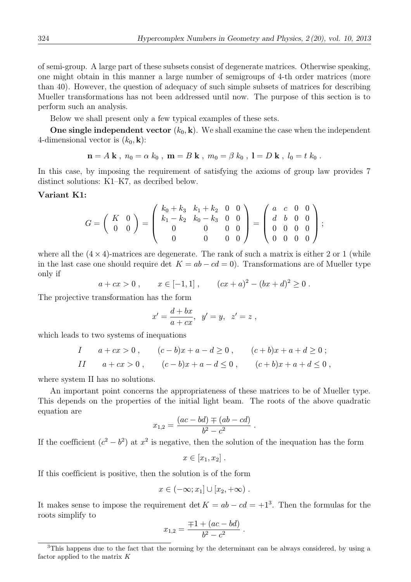of semi-group. A large part of these subsets consist of degenerate matrices. Otherwise speaking, one might obtain in this manner a large number of semigroups of 4-th order matrices (more than 40). However, the question of adequacy of such simple subsets of matrices for describing Mueller transformations has not been addressed until now. The purpose of this section is to perform such an analysis.

Below we shall present only a few typical examples of these sets.

One single independent vector  $(k_0, \mathbf{k})$ . We shall examine the case when the independent 4-dimensional vector is  $(k_0, \mathbf{k})$ :

$$
\mathbf{n} = A \mathbf{k} , n_0 = \alpha k_0 , \mathbf{m} = B \mathbf{k} , m_0 = \beta k_0 , \mathbf{l} = D \mathbf{k} , l_0 = t k_0 .
$$

In this case, by imposing the requirement of satisfying the axioms of group law provides 7 distinct solutions: K1–K7, as decribed below.

### Variant K1:

$$
G = \left(\begin{array}{cc} K & 0 \\ 0 & 0 \end{array}\right) = \left(\begin{array}{cccc} k_0 + k_3 & k_1 + k_2 & 0 & 0 \\ k_1 - k_2 & k_0 - k_3 & 0 & 0 \\ 0 & 0 & 0 & 0 \\ 0 & 0 & 0 & 0 \end{array}\right) = \left(\begin{array}{cccc} a & c & 0 & 0 \\ d & b & 0 & 0 \\ 0 & 0 & 0 & 0 \\ 0 & 0 & 0 & 0 \end{array}\right);
$$

where all the  $(4 \times 4)$ -matrices are degenerate. The rank of such a matrix is either 2 or 1 (while in the last case one should require det  $K = ab - cd = 0$ . Transformations are of Mueller type only if

 $a+cx>0$ ,  $x \in [-1,1]$ ,  $(cx+a)^2 - (bx+d)^2 \ge 0$ .

The projective transformation has the form

$$
x' = \frac{d+bx}{a+cx}
$$
,  $y' = y$ ,  $z' = z$ ,

which leads to two systems of inequations

$$
I \t a + cx > 0, \t (c - b)x + a - d \ge 0, \t (c + b)x + a + d \ge 0;
$$
  
\n
$$
II \t a + cx > 0, \t (c - b)x + a - d \le 0, \t (c + b)x + a + d \le 0,
$$

where system II has no solutions.

An important point concerns the appropriateness of these matrices to be of Mueller type. This depends on the properties of the initial light beam. The roots of the above quadratic equation are

$$
x_{1,2} = \frac{(ac - bd) \mp (ab - cd)}{b^2 - c^2}.
$$

If the coefficient  $(c^2 - b^2)$  at  $x^2$  is negative, then the solution of the inequation has the form

$$
x\in [x_1,x_2].
$$

If this coefficient is positive, then the solution is of the form

$$
x\in(-\infty;x_1]\cup[x_2,+\infty).
$$

It makes sense to impose the requirement det  $K = ab - cd = +1<sup>3</sup>$ . Then the formulas for the roots simplify to

$$
x_{1,2} = \frac{\mp 1 + (ac - bd)}{b^2 - c^2}.
$$

<sup>&</sup>lt;sup>3</sup>This happens due to the fact that the norming by the determinant can be always considered, by using a factor applied to the matrix  $K$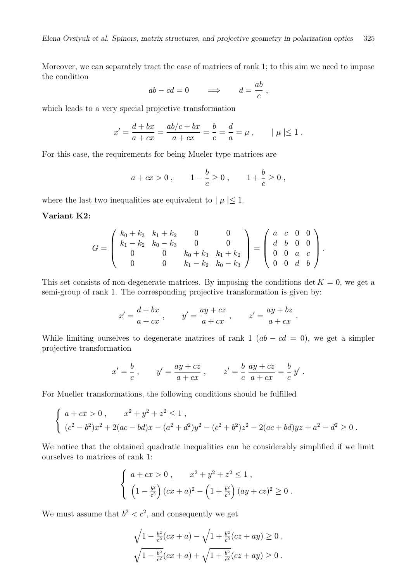Moreover, we can separately tract the case of matrices of rank 1; to this aim we need to impose the condition

$$
ab - cd = 0 \qquad \Longrightarrow \qquad d = \frac{ab}{c} \ ,
$$

which leads to a very special projective transformation

$$
x' = \frac{d + bx}{a + cx} = \frac{ab/c + bx}{a + cx} = \frac{b}{c} = \frac{d}{a} = \mu , \qquad |\mu| \le 1 .
$$

For this case, the requirements for being Mueler type matrices are

$$
a + cx > 0
$$
,  $1 - \frac{b}{c} \ge 0$ ,  $1 + \frac{b}{c} \ge 0$ ,

where the last two inequalities are equivalent to  $| \mu | \leq 1$ .

#### Variant K2:

$$
G = \left(\begin{array}{cccc} k_0 + k_3 & k_1 + k_2 & 0 & 0 \\ k_1 - k_2 & k_0 - k_3 & 0 & 0 \\ 0 & 0 & k_0 + k_3 & k_1 + k_2 \\ 0 & 0 & k_1 - k_2 & k_0 - k_3 \end{array}\right) = \left(\begin{array}{cccc} a & c & 0 & 0 \\ d & b & 0 & 0 \\ 0 & 0 & a & c \\ 0 & 0 & d & b \end{array}\right).
$$

This set consists of non-degenerate matrices. By imposing the conditions det  $K = 0$ , we get a semi-group of rank 1. The corresponding projective transformation is given by:

$$
x' = \frac{d+bx}{a+cx}, \qquad y' = \frac{ay+cz}{a+cx}, \qquad z' = \frac{ay+bz}{a+cx}.
$$

While limiting ourselves to degenerate matrices of rank 1  $(ab - cd = 0)$ , we get a simpler projective transformation

$$
x' = \frac{b}{c}
$$
,  $y' = \frac{ay + cz}{a + cx}$ ,  $z' = \frac{b}{c} \frac{ay + cz}{a + cx} = \frac{b}{c} y'$ .

For Mueller transformations, the following conditions should be fulfilled

$$
\begin{cases}\na + cx > 0, & x^2 + y^2 + z^2 \le 1, \\
(c^2 - b^2)x^2 + 2(ac - bd)x - (a^2 + d^2)y^2 - (c^2 + b^2)z^2 - 2(ac + bd)yz + a^2 - d^2 \ge 0.\n\end{cases}
$$

We notice that the obtained quadratic inequalities can be considerably simplified if we limit ourselves to matrices of rank 1:

$$
\begin{cases}\n a + cx > 0, & x^2 + y^2 + z^2 \le 1, \\
 \left(1 - \frac{b^2}{c^2}\right)(cx + a)^2 - \left(1 + \frac{b^2}{c^2}\right)(ay + cz)^2 \ge 0.\n\end{cases}
$$

We must assume that  $b^2 < c^2$ , and consequently we get

$$
\sqrt{1 - \frac{b^2}{c^2}} (cx + a) - \sqrt{1 + \frac{b^2}{c^2}} (cz + ay) \ge 0 ,
$$
  

$$
\sqrt{1 - \frac{b^2}{c^2}} (cx + a) + \sqrt{1 + \frac{b^2}{c^2}} (cz + ay) \ge 0 .
$$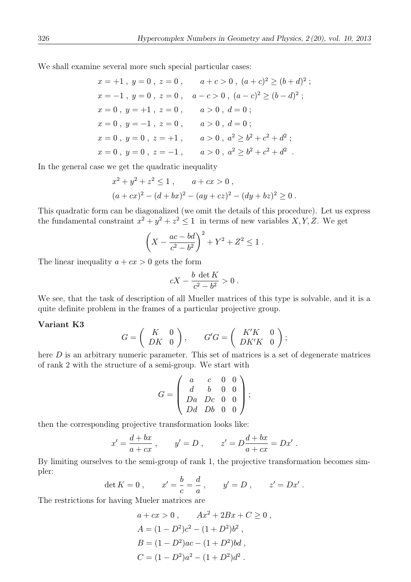We shall examine several more such special particular cases:

$$
x = +1, y = 0, z = 0, a + c > 0, (a + c)^{2} \ge (b + d)^{2};
$$
  
\n
$$
x = -1, y = 0, z = 0, a - c > 0, (a - c)^{2} \ge (b - d)^{2};
$$
  
\n
$$
x = 0, y = +1, z = 0, a > 0, d = 0;
$$
  
\n
$$
x = 0, y = -1, z = 0, a > 0, d = 0;
$$
  
\n
$$
x = 0, y = 0, z = +1, a > 0, a^{2} \ge b^{2} + c^{2} + d^{2};
$$
  
\n
$$
x = 0, y = 0, z = -1, a > 0, a^{2} \ge b^{2} + c^{2} + d^{2}.
$$

In the general case we get the quadratic inequality

$$
x2 + y2 + z2 \le 1, \t a + cx > 0,
$$
  
(a + cx)<sup>2</sup> - (d + bx)<sup>2</sup> - (ay + cz)<sup>2</sup> - (dy + bz)<sup>2</sup> \ge 0.

This quadratic form can be diagonalized (we omit the details of this procedure). Let us express the fundamental constraint  $x^2 + y^2 + z^2 \le 1$  in terms of new variables X, Y, Z. We get

$$
\left(X - \frac{ac - bd}{c^2 - b^2}\right)^2 + Y^2 + Z^2 \le 1.
$$

The linear inequality  $a + cx > 0$  gets the form

$$
cX - \frac{b \det K}{c^2 - b^2} > 0.
$$

We see, that the task of description of all Mueller matrices of this type is solvable, and it is a quite definite problem in the frames of a particular projective group.

#### Variant K3

$$
G = \begin{pmatrix} K & 0 \\ DK & 0 \end{pmatrix}, \qquad G'G = \begin{pmatrix} K'K & 0 \\ DK'K & 0 \end{pmatrix};
$$

here D is an arbitrary numeric parameter. This set of matrices is a set of degenerate matrices of rank 2 with the structure of a semi-group. We start with

$$
G = \left(\begin{array}{cccc} a & c & 0 & 0 \\ d & b & 0 & 0 \\ Da & Dc & 0 & 0 \\ Dd & Db & 0 & 0 \end{array}\right);
$$

then the corresponding projective transformation looks like:

$$
x' = \frac{d+bx}{a+cx}
$$
,  $y' = D$ ,  $z' = D\frac{d+bx}{a+cx} = Dx'$ .

By limiting ourselves to the semi-group of rank 1, the projective transformation becomes simpler:

$$
\det K = 0 \,, \qquad x' = \frac{b}{c} = \frac{d}{a} \,, \qquad y' = D \,, \qquad z' = Dx' \,.
$$

The restrictions for having Mueler matrices are

$$
a + cx > 0, \t Ax2 + 2Bx + C \ge 0,
$$
  
\n
$$
A = (1 - D2)c2 - (1 + D2)b2,
$$
  
\n
$$
B = (1 - D2)ac - (1 + D2)bd,
$$
  
\n
$$
C = (1 - D2)a2 - (1 + D2)d2.
$$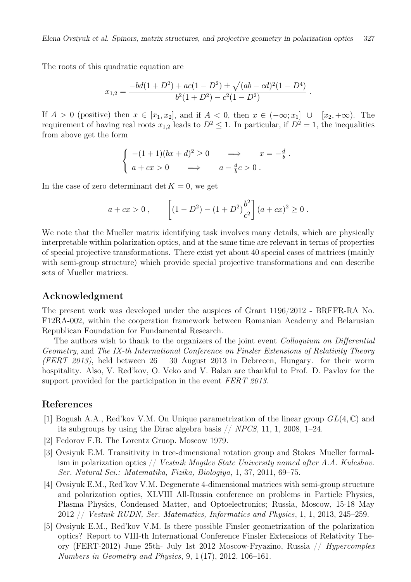The roots of this quadratic equation are

$$
x_{1,2} = \frac{-bd(1+D^2) + ac(1-D^2) \pm \sqrt{(ab-cd)^2(1-D^4)}}{b^2(1+D^2) - c^2(1-D^2)}.
$$

If  $A > 0$  (positive) then  $x \in [x_1, x_2]$ , and if  $A < 0$ , then  $x \in (-\infty; x_1] \cup [x_2, +\infty)$ . The requirement of having real roots  $x_{1,2}$  leads to  $D^2 \leq 1$ . In particular, if  $D^2 = 1$ , the inequalities from above get the form

$$
\begin{cases}\n-(1+1)(bx+d)^2 \ge 0 & \implies & x = -\frac{d}{b} \\
a+cx > 0 & \implies & a - \frac{d}{b}c > 0\n\end{cases}
$$

In the case of zero determinant det  $K = 0$ , we get

$$
a + cx > 0
$$
, 
$$
\left[ (1 - D^2) - (1 + D^2) \frac{b^2}{c^2} \right] (a + cx)^2 \ge 0.
$$

We note that the Mueller matrix identifying task involves many details, which are physically interpretable within polarization optics, and at the same time are relevant in terms of properties of special projective transformations. There exist yet about 40 special cases of matrices (mainly with semi-group structure) which provide special projective transformations and can describe sets of Mueller matrices.

### Acknowledgment

The present work was developed under the auspices of Grant 1196/2012 - BRFFR-RA No. F12RA-002, within the cooperation framework between Romanian Academy and Belarusian Republican Foundation for Fundamental Research.

The authors wish to thank to the organizers of the joint event *Colloquium on Differential* Geometry, and The IX-th International Conference on Finsler Extensions of Relativity Theory (FERT 2013), held between  $26 - 30$  August 2013 in Debrecen, Hungary. for their worm hospitality. Also, V. Red'kov, O. Veko and V. Balan are thankful to Prof. D. Pavlov for the support provided for the participation in the event FERT 2013.

### References

- [1] Bogush A.A., Red'kov V.M. On Unique parametrization of the linear group  $GL(4,\mathbb{C})$  and its subgroups by using the Dirac algebra basis // NPCS, 11, 1, 2008, 1–24.
- [2] Fedorov F.B. The Lorentz Gruop. Moscow 1979.
- [3] Ovsiyuk E.M. Transitivity in tree-dimensional rotation group and Stokes–Mueller formalism in polarization optics  $//$  Vestnik Mogilev State University named after A.A. Kuleshov. Ser. Natural Sci.: Matematika, Fizika, Biologiya, 1, 37, 2011, 69–75.
- [4] Ovsiyuk E.M., Red'kov V.M. Degenerate 4-dimensional matrices with semi-group structure and polarization optics, XLVIII All-Russia conference on problems in Particle Physics, Plasma Physics, Condensed Matter, and Optoelectronics; Russia, Moscow, 15-18 May 2012 // Vestnik RUDN, Ser. Matematics, Informatics and Physics, 1, 1, 2013, 245–259.
- [5] Ovsiyuk E.M., Red'kov V.M. Is there possible Finsler geometrization of the polarization optics? Report to VIII-th International Conference Finsler Extensions of Relativity Theory (FERT-2012) June 25th- July 1st 2012 Moscow-Fryazino, Russia // Hypercomplex Numbers in Geometry and Physics, 9, 1 (17), 2012, 106–161.